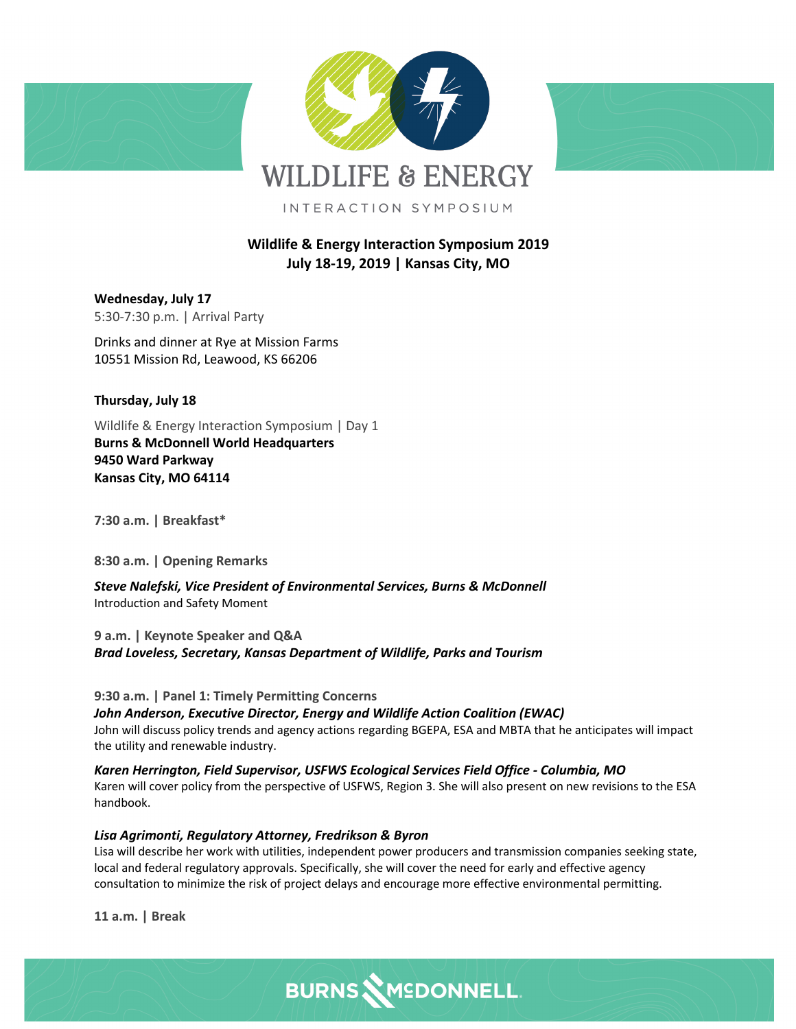





INTERACTION SYMPOSIUM

# **Wildlife & Energy Interaction Symposium 2019 July 18-19, 2019 | Kansas City, MO**

**Wednesday, July 17** 5:30-7:30 p.m. | Arrival Party

Drinks and dinner at Rye at Mission Farms 10551 Mission Rd, Leawood, KS 66206

### **Thursday, July 18**

Wildlife & Energy Interaction Symposium | Day 1 **Burns & McDonnell World Headquarters 9450 Ward Parkway Kansas City, MO 64114**

**7:30 a.m. | Breakfast\***

**8:30 a.m. | Opening Remarks**

*Steve Nalefski, Vice President of Environmental Services, Burns & McDonnell* Introduction and Safety Moment

**9 a.m. | Keynote Speaker and Q&A** *Brad Loveless, Secretary, Kansas Department of Wildlife, Parks and Tourism*

**9:30 a.m. | Panel 1: Timely Permitting Concerns**

*John Anderson, Executive Director, Energy and Wildlife Action Coalition (EWAC)* John will discuss policy trends and agency actions regarding BGEPA, ESA and MBTA that he anticipates will impact the utility and renewable industry.

*Karen Herrington, Field Supervisor, USFWS Ecological Services Field Office - Columbia, MO* Karen will cover policy from the perspective of USFWS, Region 3. She will also present on new revisions to the ESA handbook.

*Lisa Agrimonti, Regulatory Attorney, Fredrikson & Byron*

Lisa will describe her work with utilities, independent power producers and transmission companies seeking state, local and federal regulatory approvals. Specifically, she will cover the need for early and effective agency consultation to minimize the risk of project delays and encourage more effective environmental permitting.

**11 a.m. | Break**

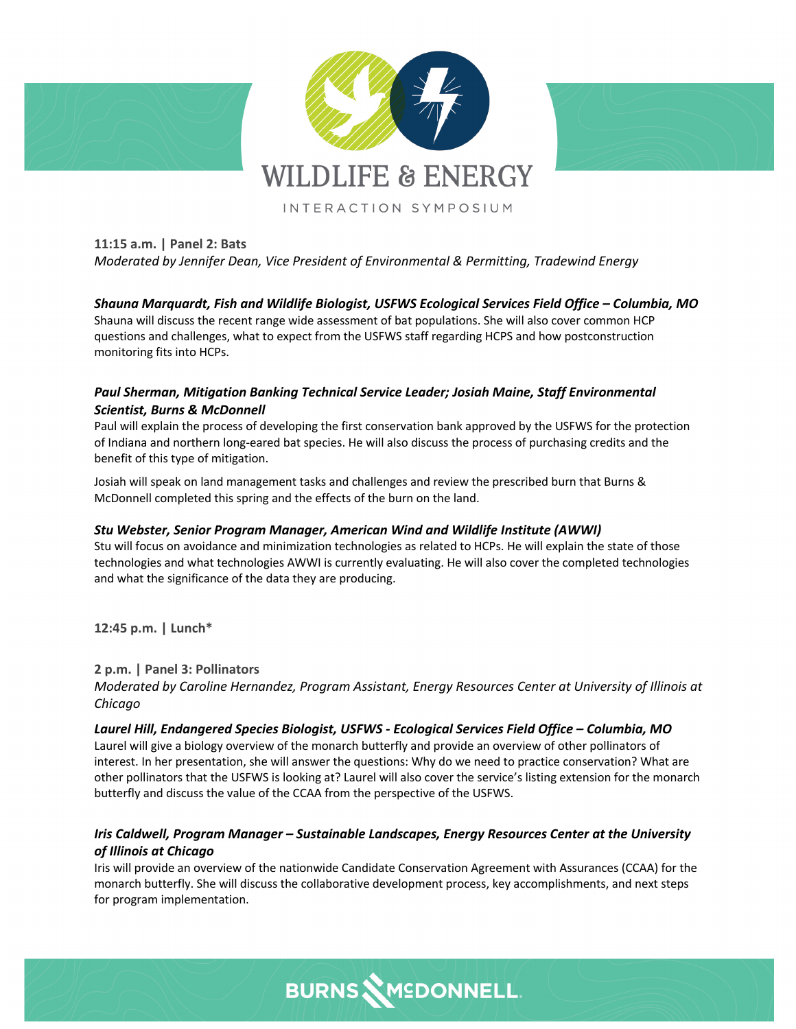

## **11:15 a.m. | Panel 2: Bats** *Moderated by Jennifer Dean, Vice President of Environmental & Permitting, Tradewind Energy*

*Shauna Marquardt, Fish and Wildlife Biologist, USFWS Ecological Services Field Office – Columbia, MO* Shauna will discuss the recent range wide assessment of bat populations. She will also cover common HCP questions and challenges, what to expect from the USFWS staff regarding HCPS and how postconstruction monitoring fits into HCPs.

### *Paul Sherman, Mitigation Banking Technical Service Leader; Josiah Maine, Staff Environmental Scientist, Burns & McDonnell*

Paul will explain the process of developing the first conservation bank approved by the USFWS for the protection of Indiana and northern long-eared bat species. He will also discuss the process of purchasing credits and the benefit of this type of mitigation.

Josiah will speak on land management tasks and challenges and review the prescribed burn that Burns & McDonnell completed this spring and the effects of the burn on the land.

#### *Stu Webster, Senior Program Manager, American Wind and Wildlife Institute (AWWI)*

Stu will focus on avoidance and minimization technologies as related to HCPs. He will explain the state of those technologies and what technologies AWWI is currently evaluating. He will also cover the completed technologies and what the significance of the data they are producing.

**12:45 p.m. | Lunch\***

**2 p.m. | Panel 3: Pollinators**

*Moderated by Caroline Hernandez, Program Assistant, Energy Resources Center at University of Illinois at Chicago*

*Laurel Hill, Endangered Species Biologist, USFWS - Ecological Services Field Office – Columbia, MO* Laurel will give a biology overview of the monarch butterfly and provide an overview of other pollinators of interest. In her presentation, she will answer the questions: Why do we need to practice conservation? What are other pollinators that the USFWS is looking at? Laurel will also cover the service's listing extension for the monarch butterfly and discuss the value of the CCAA from the perspective of the USFWS.

### *Iris Caldwell, Program Manager – Sustainable Landscapes, Energy Resources Center at the University of Illinois at Chicago*

Iris will provide an overview of the nationwide Candidate Conservation Agreement with Assurances (CCAA) for the monarch butterfly. She will discuss the collaborative development process, key accomplishments, and next steps for program implementation.

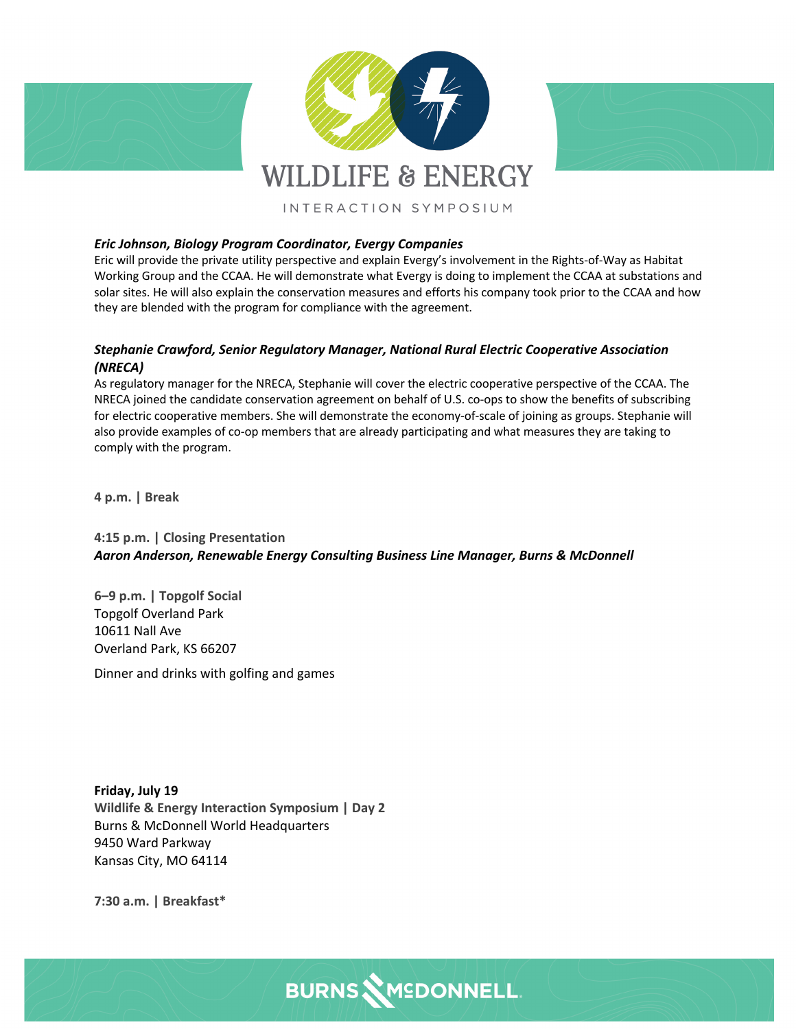

#### *Eric Johnson, Biology Program Coordinator, Evergy Companies*

Eric will provide the private utility perspective and explain Evergy's involvement in the Rights-of-Way as Habitat Working Group and the CCAA. He will demonstrate what Evergy is doing to implement the CCAA at substations and solar sites. He will also explain the conservation measures and efforts his company took prior to the CCAA and how they are blended with the program for compliance with the agreement.

#### *Stephanie Crawford, Senior Regulatory Manager, National Rural Electric Cooperative Association (NRECA)*

As regulatory manager for the NRECA, Stephanie will cover the electric cooperative perspective of the CCAA. The NRECA joined the candidate conservation agreement on behalf of U.S. co-ops to show the benefits of subscribing for electric cooperative members. She will demonstrate the economy-of-scale of joining as groups. Stephanie will also provide examples of co-op members that are already participating and what measures they are taking to comply with the program.

**4 p.m. | Break**

#### **4:15 p.m. | Closing Presentation** *Aaron Anderson, Renewable Energy Consulting Business Line Manager, Burns & McDonnell*

**6–9 p.m. | Topgolf Social** Topgolf Overland Park 10611 Nall Ave Overland Park, KS 66207

Dinner and drinks with golfing and games

**Friday, July 19 Wildlife & Energy Interaction Symposium | Day 2** Burns & McDonnell World Headquarters 9450 Ward Parkway Kansas City, MO 64114

**7:30 a.m. | Breakfast\***

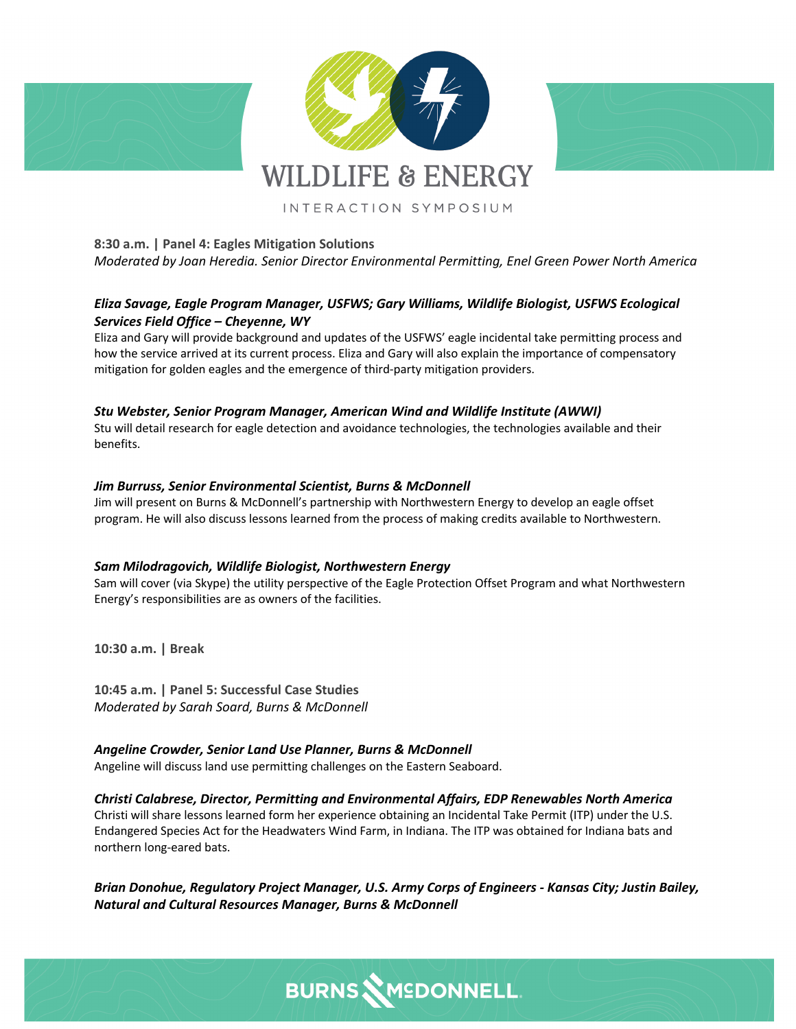

## **8:30 a.m. | Panel 4: Eagles Mitigation Solutions** *Moderated by Joan Heredia. Senior Director Environmental Permitting, Enel Green Power North America*

### *Eliza Savage, Eagle Program Manager, USFWS; Gary Williams, Wildlife Biologist, USFWS Ecological Services Field Office – Cheyenne, WY*

Eliza and Gary will provide background and updates of the USFWS' eagle incidental take permitting process and how the service arrived at its current process. Eliza and Gary will also explain the importance of compensatory mitigation for golden eagles and the emergence of third-party mitigation providers.

### *Stu Webster, Senior Program Manager, American Wind and Wildlife Institute (AWWI)*

Stu will detail research for eagle detection and avoidance technologies, the technologies available and their benefits.

#### *Jim Burruss, Senior Environmental Scientist, Burns & McDonnell*

Jim will present on Burns & McDonnell's partnership with Northwestern Energy to develop an eagle offset program. He will also discuss lessons learned from the process of making credits available to Northwestern.

#### *Sam Milodragovich, Wildlife Biologist, Northwestern Energy*

Sam will cover (via Skype) the utility perspective of the Eagle Protection Offset Program and what Northwestern Energy's responsibilities are as owners of the facilities.

**10:30 a.m. | Break**

**10:45 a.m. | Panel 5: Successful Case Studies** *Moderated by Sarah Soard, Burns & McDonnell*

*Angeline Crowder, Senior Land Use Planner, Burns & McDonnell* Angeline will discuss land use permitting challenges on the Eastern Seaboard.

### *Christi Calabrese, Director, Permitting and Environmental Affairs, EDP Renewables North America*

Christi will share lessons learned form her experience obtaining an Incidental Take Permit (ITP) under the U.S. Endangered Species Act for the Headwaters Wind Farm, in Indiana. The ITP was obtained for Indiana bats and northern long-eared bats.

*Brian Donohue, Regulatory Project Manager, U.S. Army Corps of Engineers - Kansas City; Justin Bailey, Natural and Cultural Resources Manager, Burns & McDonnell*